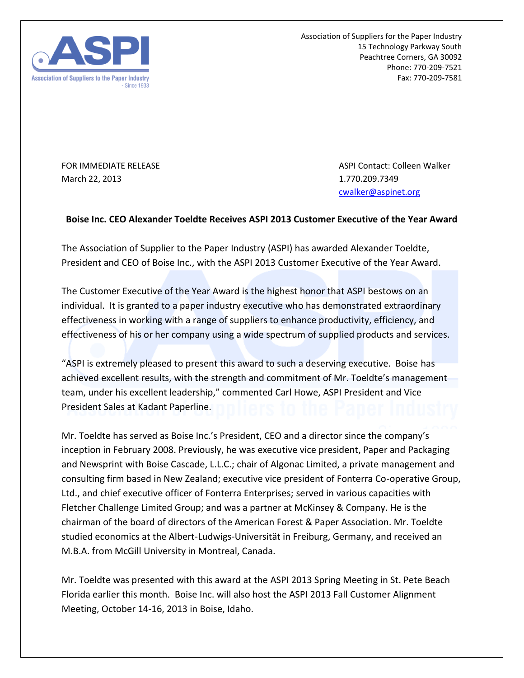

Association of Suppliers for the Paper Industry 15 Technology Parkway South Peachtree Corners, GA 30092 Phone: 770-209-7521 Fax: 770-209-7581

March 22, 2013 **1.770.209.7349** 

FOR IMMEDIATE RELEASE ASPI Contact: Colleen Walker [cwalker@aspinet.org](mailto:cwalker@aspinet.org)

## **Boise Inc. CEO Alexander Toeldte Receives ASPI 2013 Customer Executive of the Year Award**

The Association of Supplier to the Paper Industry (ASPI) has awarded Alexander Toeldte, President and CEO of Boise Inc., with the ASPI 2013 Customer Executive of the Year Award.

The Customer Executive of the Year Award is the highest honor that ASPI bestows on an individual. It is granted to a paper industry executive who has demonstrated extraordinary effectiveness in working with a range of suppliers to enhance productivity, efficiency, and effectiveness of his or her company using a wide spectrum of supplied products and services.

"ASPI is extremely pleased to present this award to such a deserving executive. Boise has achieved excellent results, with the strength and commitment of Mr. Toeldte's management team, under his excellent leadership," commented Carl Howe, ASPI President and Vice President Sales at Kadant Paperline.

Mr. Toeldte has served as Boise Inc.'s President, CEO and a director since the company's inception in February 2008. Previously, he was executive vice president, Paper and Packaging and Newsprint with Boise Cascade, L.L.C.; chair of Algonac Limited, a private management and consulting firm based in New Zealand; executive vice president of Fonterra Co-operative Group, Ltd., and chief executive officer of Fonterra Enterprises; served in various capacities with Fletcher Challenge Limited Group; and was a partner at McKinsey & Company. He is the chairman of the board of directors of the American Forest & Paper Association. Mr. Toeldte studied economics at the Albert-Ludwigs-Universität in Freiburg, Germany, and received an M.B.A. from McGill University in Montreal, Canada.

Mr. Toeldte was presented with this award at the ASPI 2013 Spring Meeting in St. Pete Beach Florida earlier this month. Boise Inc. will also host the ASPI 2013 Fall Customer Alignment Meeting, October 14-16, 2013 in Boise, Idaho.